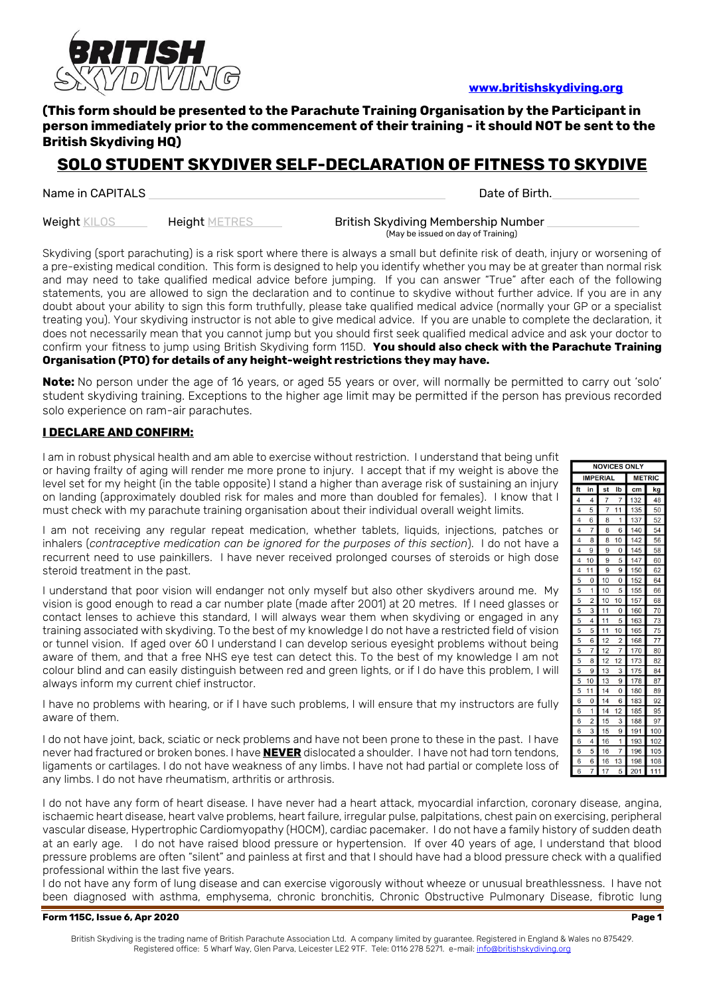

### **[www.britishskydiving.org](http://www.britishskydiving.org/)**

## **(This form should be presented to the Parachute Training Organisation by the Participant in person immediately prior to the commencement of their training - it should NOT be sent to the British Skydiving HQ)**

# **SOLO STUDENT SKYDIVER SELF-DECLARATION OF FITNESS TO SKYDIVE**

Name in CAPITALS **Date of Birth.** Date of Birth.

Weight KILOS Height METRES British Skydiving Membership Number (May be issued on day of Training)

Skydiving (sport parachuting) is a risk sport where there is always a small but definite risk of death, injury or worsening of a pre-existing medical condition. This form is designed to help you identify whether you may be at greater than normal risk and may need to take qualified medical advice before jumping. If you can answer "True" after each of the following statements, you are allowed to sign the declaration and to continue to skydive without further advice. If you are in any doubt about your ability to sign this form truthfully, please take qualified medical advice (normally your GP or a specialist treating you). Your skydiving instructor is not able to give medical advice. If you are unable to complete the declaration, it does not necessarily mean that you cannot jump but you should first seek qualified medical advice and ask your doctor to confirm your fitness to jump using British Skydiving form 115D. **You should also check with the Parachute Training Organisation (PTO) for details of any height-weight restrictions they may have.**

**Note:** No person under the age of 16 years, or aged 55 years or over, will normally be permitted to carry out 'solo' student skydiving training. Exceptions to the higher age limit may be permitted if the person has previous recorded solo experience on ram-air parachutes.

### **I DECLARE AND CONFIRM:**

I am in robust physical health and am able to exercise without restriction. I understand that being unfit or having frailty of aging will render me more prone to injury. I accept that if my weight is above the level set for my height (in the table opposite) I stand a higher than average risk of sustaining an injury on landing (approximately doubled risk for males and more than doubled for females). I know that I must check with my parachute training organisation about their individual overall weight limits.

I am not receiving any regular repeat medication, whether tablets, liquids, injections, patches or inhalers (*contraceptive medication can be ignored for the purposes of this section*). I do not have a recurrent need to use painkillers. I have never received prolonged courses of steroids or high dose steroid treatment in the past.

I understand that poor vision will endanger not only myself but also other skydivers around me. My vision is good enough to read a car number plate (made after 2001) at 20 metres. If I need glasses or contact lenses to achieve this standard, I will always wear them when skydiving or engaged in any training associated with skydiving. To the best of my knowledge I do not have a restricted field of vision or tunnel vision. If aged over 60 I understand I can develop serious eyesight problems without being aware of them, and that a free NHS eye test can detect this. To the best of my knowledge I am not colour blind and can easily distinguish between red and green lights, or if I do have this problem, I will always inform my current chief instructor.

I have no problems with hearing, or if I have such problems, I will ensure that my instructors are fully aware of them.

I do not have joint, back, sciatic or neck problems and have not been prone to these in the past. I have never had fractured or broken bones. I have **NEVER** dislocated a shoulder. I have not had torn tendons, ligaments or cartilages. I do not have weakness of any limbs. I have not had partial or complete loss of any limbs. I do not have rheumatism, arthritis or arthrosis.

I do not have any form of heart disease. I have never had a heart attack, myocardial infarction, coronary disease, angina, ischaemic heart disease, heart valve problems, heart failure, irregular pulse, palpitations, chest pain on exercising, peripheral vascular disease, Hypertrophic Cardiomyopathy (HOCM), cardiac pacemaker. I do not have a family history of sudden death at an early age. I do not have raised blood pressure or hypertension. If over 40 years of age, I understand that blood pressure problems are often "silent" and painless at first and that I should have had a blood pressure check with a qualified professional within the last five years.

I do not have any form of lung disease and can exercise vigorously without wheeze or unusual breathlessness. I have not been diagnosed with asthma, emphysema, chronic bronchitis, Chronic Obstructive Pulmonary Disease, fibrotic lung

#### **Form 115C, Issue 6, Apr 2020 Page 1**

| <b>NOVICES ONLY</b> |                |    |                |               |     |  |  |
|---------------------|----------------|----|----------------|---------------|-----|--|--|
| <b>IMPERIAL</b>     |                |    |                | <b>METRIC</b> |     |  |  |
| ft                  | in             | st | lb             | cm            | kg  |  |  |
| 4                   | 4              | 7  | 7              | 132           | 48  |  |  |
| 4                   | 5              | 7  | 11             | 135           | 50  |  |  |
| 4                   | 6              | 8  | 1              | 137           | 52  |  |  |
| 4                   | 7              | 8  | 6              | 140           | 54  |  |  |
| 4                   | 8              | 8  | 10             | 142           | 56  |  |  |
| 4                   | 9              | 9  | 0              | 145           | 58  |  |  |
| 4                   | 10             | 9  | 5              | 147           | 60  |  |  |
| 4                   | 11             | 9  | 9              | 150           | 62  |  |  |
| 5                   | 0              | 10 | 0              | 152           | 64  |  |  |
| 5                   | 1              | 10 | 5              | 155           | 66  |  |  |
| 5                   | $\overline{2}$ | 10 | 10             | 157           | 68  |  |  |
| 5                   | 3              | 11 | O              | 160           | 70  |  |  |
| 5                   | 4              | 11 | 5              | 163           | 73  |  |  |
| 5                   | 5              | 11 | 10             | 165           | 75  |  |  |
| 5                   | 6              | 12 | $\overline{2}$ | 168           | 77  |  |  |
| 5                   | 7              | 12 | 7              | 170           | 80  |  |  |
| 5                   | 8              | 12 | 12             | 173           | 82  |  |  |
| 5                   | 9              | 13 | 3              | 175           | 84  |  |  |
| 5                   | 10             | 13 | 9              | 178           | 87  |  |  |
| 5                   | 11             | 14 | 0              | 180           | 89  |  |  |
| 6                   | 0              | 14 | 6              | 183           | 92  |  |  |
| 6                   | 1              | 14 | 12             | 185           | 95  |  |  |
| 6                   | $\overline{2}$ | 15 | 3              | 188           | 97  |  |  |
| 6                   | 3              | 15 | 9              | 191           | 100 |  |  |
| 6                   | 4              | 16 | 1              | 193           | 102 |  |  |
| 6                   | 5              | 16 | 7              | 196           | 105 |  |  |
| 6                   | 6              | 16 | 13             | 198           | 108 |  |  |
| 6                   | 7              | 17 | 5              | 201           | 111 |  |  |